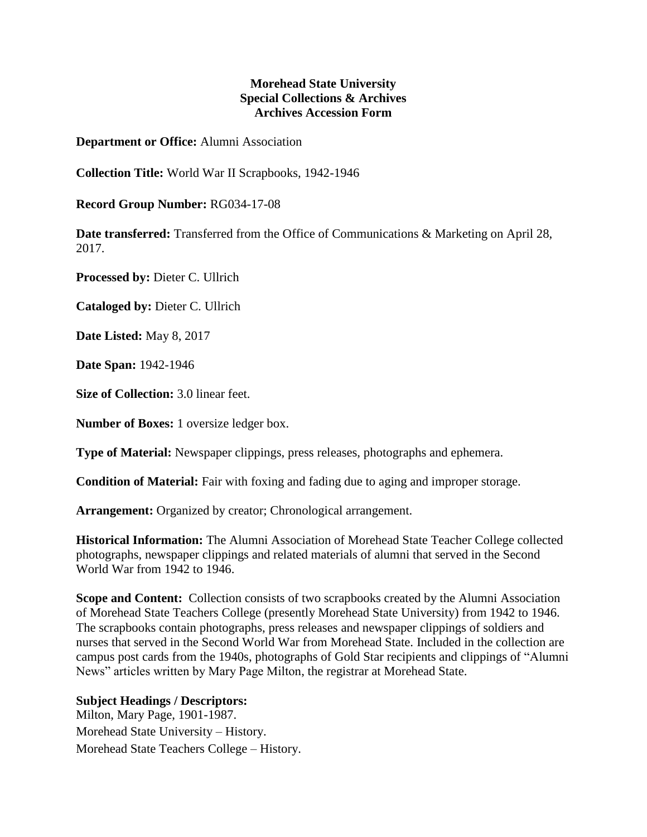## **Morehead State University Special Collections & Archives Archives Accession Form**

**Department or Office:** Alumni Association

**Collection Title:** World War II Scrapbooks, 1942-1946

**Record Group Number:** RG034-17-08

**Date transferred:** Transferred from the Office of Communications & Marketing on April 28, 2017.

**Processed by:** Dieter C. Ullrich

**Cataloged by:** Dieter C. Ullrich

**Date Listed:** May 8, 2017

**Date Span:** 1942-1946

**Size of Collection:** 3.0 linear feet.

**Number of Boxes:** 1 oversize ledger box.

**Type of Material:** Newspaper clippings, press releases, photographs and ephemera.

**Condition of Material:** Fair with foxing and fading due to aging and improper storage.

**Arrangement:** Organized by creator; Chronological arrangement.

**Historical Information:** The Alumni Association of Morehead State Teacher College collected photographs, newspaper clippings and related materials of alumni that served in the Second World War from 1942 to 1946.

**Scope and Content:** Collection consists of two scrapbooks created by the Alumni Association of Morehead State Teachers College (presently Morehead State University) from 1942 to 1946. The scrapbooks contain photographs, press releases and newspaper clippings of soldiers and nurses that served in the Second World War from Morehead State. Included in the collection are campus post cards from the 1940s, photographs of Gold Star recipients and clippings of "Alumni News" articles written by Mary Page Milton, the registrar at Morehead State.

## **Subject Headings / Descriptors:**

Milton, Mary Page, 1901-1987. Morehead State University – History. Morehead State Teachers College – History.